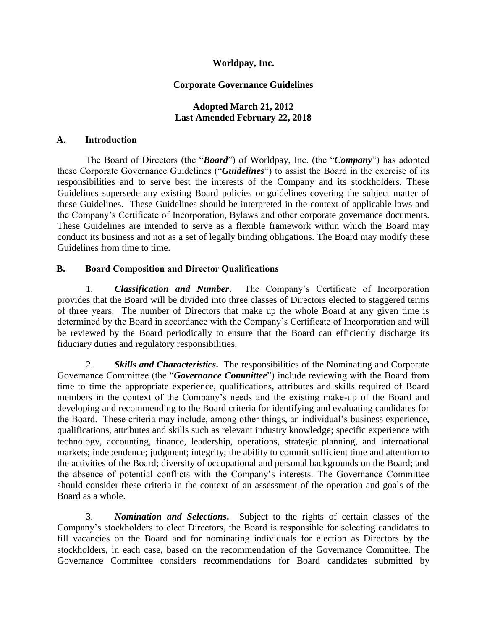# **Worldpay, Inc.**

## **Corporate Governance Guidelines**

## **Adopted March 21, 2012 Last Amended February 22, 2018**

### **A. Introduction**

The Board of Directors (the "*Board*") of Worldpay, Inc. (the "*Company*") has adopted these Corporate Governance Guidelines ("*Guidelines*") to assist the Board in the exercise of its responsibilities and to serve best the interests of the Company and its stockholders. These Guidelines supersede any existing Board policies or guidelines covering the subject matter of these Guidelines. These Guidelines should be interpreted in the context of applicable laws and the Company's Certificate of Incorporation, Bylaws and other corporate governance documents. These Guidelines are intended to serve as a flexible framework within which the Board may conduct its business and not as a set of legally binding obligations. The Board may modify these Guidelines from time to time.

# **B. Board Composition and Director Qualifications**

1. *Classification and Number***.** The Company's Certificate of Incorporation provides that the Board will be divided into three classes of Directors elected to staggered terms of three years. The number of Directors that make up the whole Board at any given time is determined by the Board in accordance with the Company's Certificate of Incorporation and will be reviewed by the Board periodically to ensure that the Board can efficiently discharge its fiduciary duties and regulatory responsibilities.

2. *Skills and Characteristics***.** The responsibilities of the Nominating and Corporate Governance Committee (the "*Governance Committee*") include reviewing with the Board from time to time the appropriate experience, qualifications, attributes and skills required of Board members in the context of the Company's needs and the existing make-up of the Board and developing and recommending to the Board criteria for identifying and evaluating candidates for the Board. These criteria may include, among other things, an individual's business experience, qualifications, attributes and skills such as relevant industry knowledge; specific experience with technology, accounting, finance, leadership, operations, strategic planning, and international markets; independence; judgment; integrity; the ability to commit sufficient time and attention to the activities of the Board; diversity of occupational and personal backgrounds on the Board; and the absence of potential conflicts with the Company's interests. The Governance Committee should consider these criteria in the context of an assessment of the operation and goals of the Board as a whole.

3. *Nomination and Selections***.** Subject to the rights of certain classes of the Company's stockholders to elect Directors, the Board is responsible for selecting candidates to fill vacancies on the Board and for nominating individuals for election as Directors by the stockholders, in each case, based on the recommendation of the Governance Committee. The Governance Committee considers recommendations for Board candidates submitted by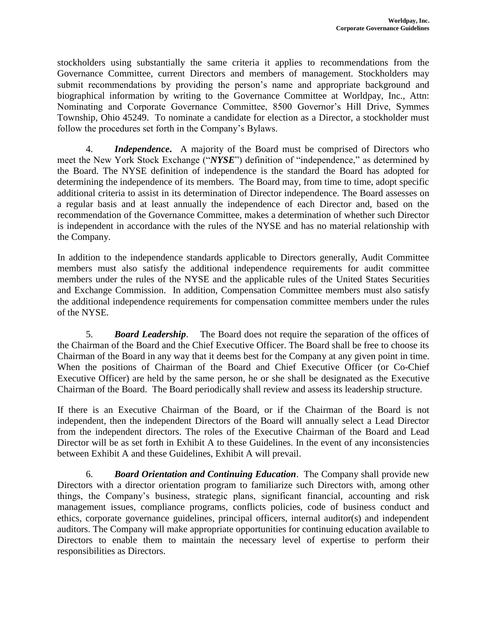stockholders using substantially the same criteria it applies to recommendations from the Governance Committee, current Directors and members of management. Stockholders may submit recommendations by providing the person's name and appropriate background and biographical information by writing to the Governance Committee at Worldpay, Inc., Attn: Nominating and Corporate Governance Committee, 8500 Governor's Hill Drive, Symmes Township, Ohio 45249. To nominate a candidate for election as a Director, a stockholder must follow the procedures set forth in the Company's Bylaws.

4. *Independence***.** A majority of the Board must be comprised of Directors who meet the New York Stock Exchange ("*NYSE*") definition of "independence," as determined by the Board. The NYSE definition of independence is the standard the Board has adopted for determining the independence of its members. The Board may, from time to time, adopt specific additional criteria to assist in its determination of Director independence. The Board assesses on a regular basis and at least annually the independence of each Director and, based on the recommendation of the Governance Committee, makes a determination of whether such Director is independent in accordance with the rules of the NYSE and has no material relationship with the Company.

In addition to the independence standards applicable to Directors generally, Audit Committee members must also satisfy the additional independence requirements for audit committee members under the rules of the NYSE and the applicable rules of the United States Securities and Exchange Commission. In addition, Compensation Committee members must also satisfy the additional independence requirements for compensation committee members under the rules of the NYSE.

5. *Board Leadership*. The Board does not require the separation of the offices of the Chairman of the Board and the Chief Executive Officer. The Board shall be free to choose its Chairman of the Board in any way that it deems best for the Company at any given point in time. When the positions of Chairman of the Board and Chief Executive Officer (or Co-Chief Executive Officer) are held by the same person, he or she shall be designated as the Executive Chairman of the Board. The Board periodically shall review and assess its leadership structure.

If there is an Executive Chairman of the Board, or if the Chairman of the Board is not independent, then the independent Directors of the Board will annually select a Lead Director from the independent directors. The roles of the Executive Chairman of the Board and Lead Director will be as set forth in Exhibit A to these Guidelines. In the event of any inconsistencies between Exhibit A and these Guidelines, Exhibit A will prevail.

6. *Board Orientation and Continuing Education*. The Company shall provide new Directors with a director orientation program to familiarize such Directors with, among other things, the Company's business, strategic plans, significant financial, accounting and risk management issues, compliance programs, conflicts policies, code of business conduct and ethics, corporate governance guidelines, principal officers, internal auditor(s) and independent auditors. The Company will make appropriate opportunities for continuing education available to Directors to enable them to maintain the necessary level of expertise to perform their responsibilities as Directors.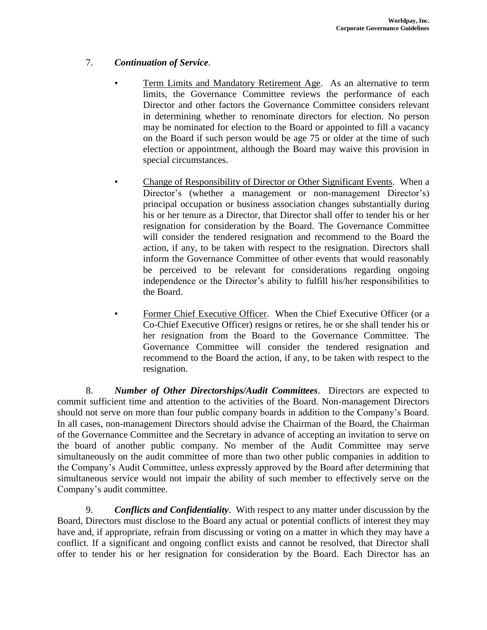# 7. *Continuation of Service.*

- Term Limits and Mandatory Retirement Age. As an alternative to term limits, the Governance Committee reviews the performance of each Director and other factors the Governance Committee considers relevant in determining whether to renominate directors for election. No person may be nominated for election to the Board or appointed to fill a vacancy on the Board if such person would be age 75 or older at the time of such election or appointment, although the Board may waive this provision in special circumstances.
- Change of Responsibility of Director or Other Significant Events. When a Director's (whether a management or non-management Director's) principal occupation or business association changes substantially during his or her tenure as a Director, that Director shall offer to tender his or her resignation for consideration by the Board. The Governance Committee will consider the tendered resignation and recommend to the Board the action, if any, to be taken with respect to the resignation. Directors shall inform the Governance Committee of other events that would reasonably be perceived to be relevant for considerations regarding ongoing independence or the Director's ability to fulfill his/her responsibilities to the Board.
	- Former Chief Executive Officer. When the Chief Executive Officer (or a Co-Chief Executive Officer) resigns or retires, he or she shall tender his or her resignation from the Board to the Governance Committee. The Governance Committee will consider the tendered resignation and recommend to the Board the action, if any, to be taken with respect to the resignation.

8. *Number of Other Directorships/Audit Committees*. Directors are expected to commit sufficient time and attention to the activities of the Board. Non-management Directors should not serve on more than four public company boards in addition to the Company's Board. In all cases, non-management Directors should advise the Chairman of the Board, the Chairman of the Governance Committee and the Secretary in advance of accepting an invitation to serve on the board of another public company. No member of the Audit Committee may serve simultaneously on the audit committee of more than two other public companies in addition to the Company's Audit Committee, unless expressly approved by the Board after determining that simultaneous service would not impair the ability of such member to effectively serve on the Company's audit committee.

9. *Conflicts and Confidentiality*. With respect to any matter under discussion by the Board, Directors must disclose to the Board any actual or potential conflicts of interest they may have and, if appropriate, refrain from discussing or voting on a matter in which they may have a conflict. If a significant and ongoing conflict exists and cannot be resolved, that Director shall offer to tender his or her resignation for consideration by the Board. Each Director has an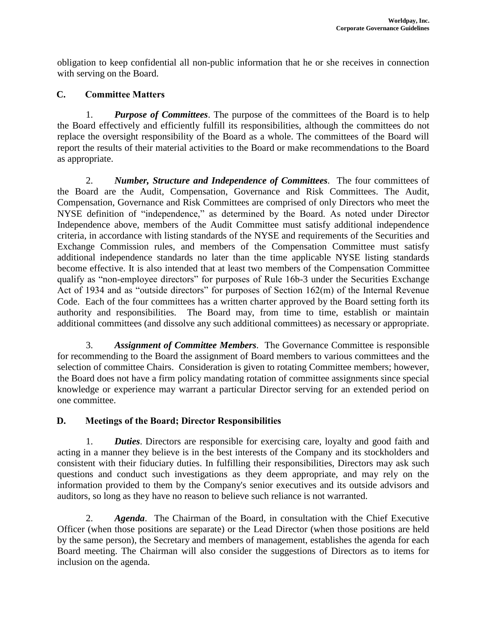obligation to keep confidential all non-public information that he or she receives in connection with serving on the Board.

# **C. Committee Matters**

1. *Purpose of Committees*. The purpose of the committees of the Board is to help the Board effectively and efficiently fulfill its responsibilities, although the committees do not replace the oversight responsibility of the Board as a whole. The committees of the Board will report the results of their material activities to the Board or make recommendations to the Board as appropriate.

2. *Number, Structure and Independence of Committees.* The four committees of the Board are the Audit, Compensation, Governance and Risk Committees. The Audit, Compensation, Governance and Risk Committees are comprised of only Directors who meet the NYSE definition of "independence," as determined by the Board. As noted under Director Independence above, members of the Audit Committee must satisfy additional independence criteria, in accordance with listing standards of the NYSE and requirements of the Securities and Exchange Commission rules, and members of the Compensation Committee must satisfy additional independence standards no later than the time applicable NYSE listing standards become effective. It is also intended that at least two members of the Compensation Committee qualify as "non-employee directors" for purposes of Rule 16b-3 under the Securities Exchange Act of 1934 and as "outside directors" for purposes of Section 162(m) of the Internal Revenue Code. Each of the four committees has a written charter approved by the Board setting forth its authority and responsibilities. The Board may, from time to time, establish or maintain additional committees (and dissolve any such additional committees) as necessary or appropriate.

3. *Assignment of Committee Members.* The Governance Committee is responsible for recommending to the Board the assignment of Board members to various committees and the selection of committee Chairs. Consideration is given to rotating Committee members; however, the Board does not have a firm policy mandating rotation of committee assignments since special knowledge or experience may warrant a particular Director serving for an extended period on one committee.

# **D. Meetings of the Board; Director Responsibilities**

1. *Duties*. Directors are responsible for exercising care, loyalty and good faith and acting in a manner they believe is in the best interests of the Company and its stockholders and consistent with their fiduciary duties. In fulfilling their responsibilities, Directors may ask such questions and conduct such investigations as they deem appropriate, and may rely on the information provided to them by the Company's senior executives and its outside advisors and auditors, so long as they have no reason to believe such reliance is not warranted.

2. *Agenda*. The Chairman of the Board, in consultation with the Chief Executive Officer (when those positions are separate) or the Lead Director (when those positions are held by the same person), the Secretary and members of management, establishes the agenda for each Board meeting. The Chairman will also consider the suggestions of Directors as to items for inclusion on the agenda.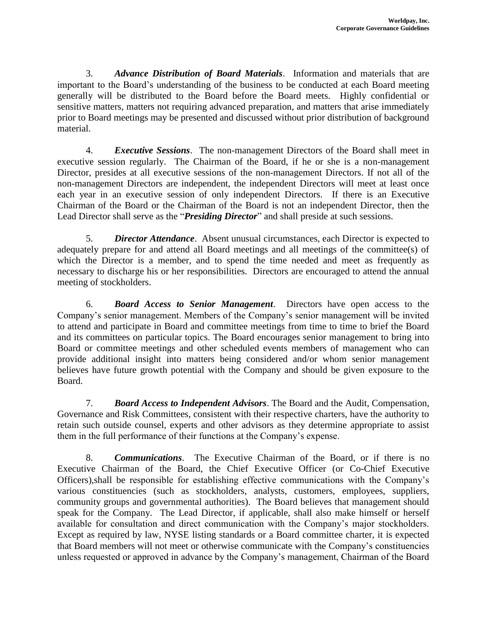3. *Advance Distribution of Board Materials*. Information and materials that are important to the Board's understanding of the business to be conducted at each Board meeting generally will be distributed to the Board before the Board meets. Highly confidential or sensitive matters, matters not requiring advanced preparation, and matters that arise immediately prior to Board meetings may be presented and discussed without prior distribution of background material.

4. *Executive Sessions*. The non-management Directors of the Board shall meet in executive session regularly. The Chairman of the Board, if he or she is a non-management Director, presides at all executive sessions of the non-management Directors. If not all of the non-management Directors are independent, the independent Directors will meet at least once each year in an executive session of only independent Directors. If there is an Executive Chairman of the Board or the Chairman of the Board is not an independent Director, then the Lead Director shall serve as the "*Presiding Director*" and shall preside at such sessions.

5. *Director Attendance*. Absent unusual circumstances, each Director is expected to adequately prepare for and attend all Board meetings and all meetings of the committee(s) of which the Director is a member, and to spend the time needed and meet as frequently as necessary to discharge his or her responsibilities. Directors are encouraged to attend the annual meeting of stockholders.

6. *Board Access to Senior Management*. Directors have open access to the Company's senior management. Members of the Company's senior management will be invited to attend and participate in Board and committee meetings from time to time to brief the Board and its committees on particular topics. The Board encourages senior management to bring into Board or committee meetings and other scheduled events members of management who can provide additional insight into matters being considered and/or whom senior management believes have future growth potential with the Company and should be given exposure to the Board.

7. *Board Access to Independent Advisors*. The Board and the Audit, Compensation, Governance and Risk Committees, consistent with their respective charters, have the authority to retain such outside counsel, experts and other advisors as they determine appropriate to assist them in the full performance of their functions at the Company's expense.

8. *Communications*. The Executive Chairman of the Board, or if there is no Executive Chairman of the Board, the Chief Executive Officer (or Co-Chief Executive Officers),shall be responsible for establishing effective communications with the Company's various constituencies (such as stockholders, analysts, customers, employees, suppliers, community groups and governmental authorities). The Board believes that management should speak for the Company. The Lead Director, if applicable, shall also make himself or herself available for consultation and direct communication with the Company's major stockholders. Except as required by law, NYSE listing standards or a Board committee charter, it is expected that Board members will not meet or otherwise communicate with the Company's constituencies unless requested or approved in advance by the Company's management, Chairman of the Board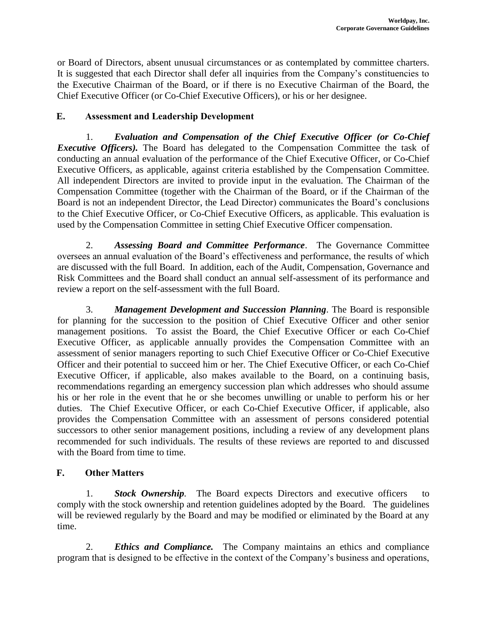or Board of Directors, absent unusual circumstances or as contemplated by committee charters. It is suggested that each Director shall defer all inquiries from the Company's constituencies to the Executive Chairman of the Board, or if there is no Executive Chairman of the Board, the Chief Executive Officer (or Co-Chief Executive Officers), or his or her designee.

# **E. Assessment and Leadership Development**

1. *Evaluation and Compensation of the Chief Executive Officer (or Co-Chief Executive Officers*). The Board has delegated to the Compensation Committee the task of conducting an annual evaluation of the performance of the Chief Executive Officer, or Co-Chief Executive Officers, as applicable, against criteria established by the Compensation Committee. All independent Directors are invited to provide input in the evaluation. The Chairman of the Compensation Committee (together with the Chairman of the Board, or if the Chairman of the Board is not an independent Director, the Lead Director) communicates the Board's conclusions to the Chief Executive Officer, or Co-Chief Executive Officers, as applicable. This evaluation is used by the Compensation Committee in setting Chief Executive Officer compensation.

2. *Assessing Board and Committee Performance*. The Governance Committee oversees an annual evaluation of the Board's effectiveness and performance, the results of which are discussed with the full Board. In addition, each of the Audit, Compensation, Governance and Risk Committees and the Board shall conduct an annual self-assessment of its performance and review a report on the self-assessment with the full Board.

3. *Management Development and Succession Planning*. The Board is responsible for planning for the succession to the position of Chief Executive Officer and other senior management positions. To assist the Board, the Chief Executive Officer or each Co-Chief Executive Officer, as applicable annually provides the Compensation Committee with an assessment of senior managers reporting to such Chief Executive Officer or Co-Chief Executive Officer and their potential to succeed him or her. The Chief Executive Officer, or each Co-Chief Executive Officer, if applicable, also makes available to the Board, on a continuing basis, recommendations regarding an emergency succession plan which addresses who should assume his or her role in the event that he or she becomes unwilling or unable to perform his or her duties. The Chief Executive Officer, or each Co-Chief Executive Officer, if applicable, also provides the Compensation Committee with an assessment of persons considered potential successors to other senior management positions, including a review of any development plans recommended for such individuals. The results of these reviews are reported to and discussed with the Board from time to time.

# **F. Other Matters**

1. *Stock Ownership.* The Board expects Directors and executive officers to comply with the stock ownership and retention guidelines adopted by the Board. The guidelines will be reviewed regularly by the Board and may be modified or eliminated by the Board at any time.

2. *Ethics and Compliance.* The Company maintains an ethics and compliance program that is designed to be effective in the context of the Company's business and operations,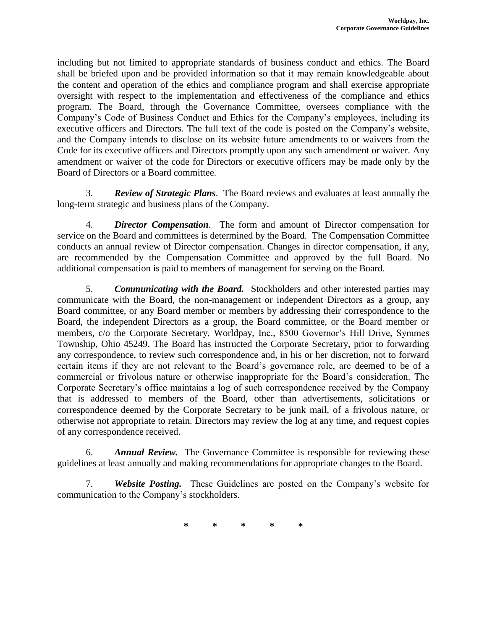including but not limited to appropriate standards of business conduct and ethics. The Board shall be briefed upon and be provided information so that it may remain knowledgeable about the content and operation of the ethics and compliance program and shall exercise appropriate oversight with respect to the implementation and effectiveness of the compliance and ethics program. The Board, through the Governance Committee, oversees compliance with the Company's Code of Business Conduct and Ethics for the Company's employees, including its executive officers and Directors. The full text of the code is posted on the Company's website, and the Company intends to disclose on its website future amendments to or waivers from the Code for its executive officers and Directors promptly upon any such amendment or waiver. Any amendment or waiver of the code for Directors or executive officers may be made only by the Board of Directors or a Board committee.

3. *Review of Strategic Plans*. The Board reviews and evaluates at least annually the long-term strategic and business plans of the Company.

4. *Director Compensation*. The form and amount of Director compensation for service on the Board and committees is determined by the Board. The Compensation Committee conducts an annual review of Director compensation. Changes in director compensation, if any, are recommended by the Compensation Committee and approved by the full Board. No additional compensation is paid to members of management for serving on the Board.

5. *Communicating with the Board.*Stockholders and other interested parties may communicate with the Board, the non-management or independent Directors as a group, any Board committee, or any Board member or members by addressing their correspondence to the Board, the independent Directors as a group, the Board committee, or the Board member or members, c/o the Corporate Secretary, Worldpay, Inc., 8500 Governor's Hill Drive, Symmes Township, Ohio 45249. The Board has instructed the Corporate Secretary, prior to forwarding any correspondence, to review such correspondence and, in his or her discretion, not to forward certain items if they are not relevant to the Board's governance role, are deemed to be of a commercial or frivolous nature or otherwise inappropriate for the Board's consideration. The Corporate Secretary's office maintains a log of such correspondence received by the Company that is addressed to members of the Board, other than advertisements, solicitations or correspondence deemed by the Corporate Secretary to be junk mail, of a frivolous nature, or otherwise not appropriate to retain. Directors may review the log at any time, and request copies of any correspondence received.

6. *Annual Review.* The Governance Committee is responsible for reviewing these guidelines at least annually and making recommendations for appropriate changes to the Board.

7. *Website Posting.* These Guidelines are posted on the Company's website for communication to the Company's stockholders.

**\* \* \* \* \***